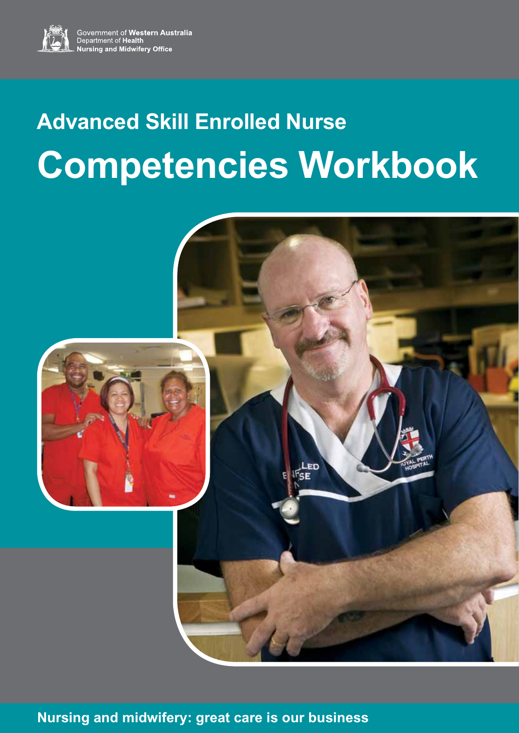

Government of Western Australia<br>Department of Health<br>Nursing and Midwifery Office

# **Advanced Skill Enrolled Nurse Competencies Workbook**



**Nursing and midwifery: great care is our business**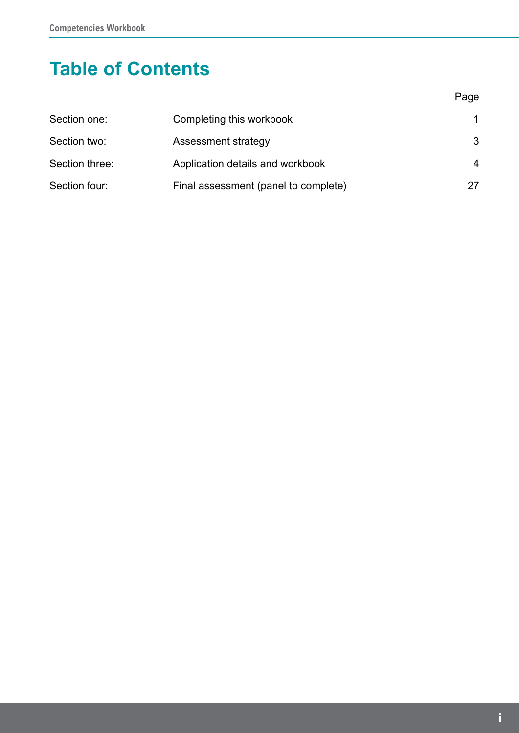# **Table of Contents**

| Section one:   | Completing this workbook             | 1  |
|----------------|--------------------------------------|----|
| Section two:   | Assessment strategy                  | 3  |
| Section three: | Application details and workbook     | 4  |
| Section four:  | Final assessment (panel to complete) | 27 |

e de la provincia de la provincia de la provincia de la provincia de la provincia de la provincia de la provin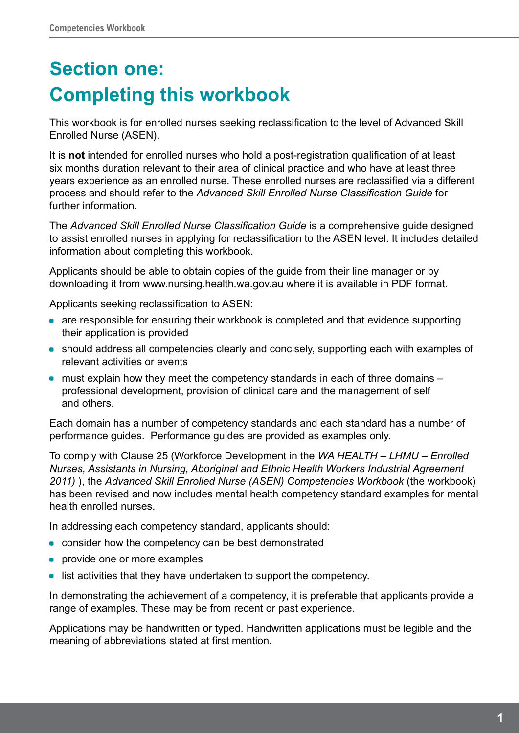# **Section one: Completing this workbook**

This workbook is for enrolled nurses seeking reclassification to the level of Advanced Skill Enrolled Nurse (ASEN).

It is **not** intended for enrolled nurses who hold a post-registration qualification of at least six months duration relevant to their area of clinical practice and who have at least three years experience as an enrolled nurse. These enrolled nurses are reclassified via a different process and should refer to the *Advanced Skill Enrolled Nurse Classification Guide* for further information.

The *Advanced Skill Enrolled Nurse Classification Guide* is a comprehensive guide designed to assist enrolled nurses in applying for reclassification to the ASEN level. It includes detailed information about completing this workbook.

Applicants should be able to obtain copies of the guide from their line manager or by downloading it from www.nursing.health.wa.gov.au where it is available in PDF format.

Applicants seeking reclassification to ASEN:

- are responsible for ensuring their workbook is completed and that evidence supporting their application is provided
- should address all competencies clearly and concisely, supporting each with examples of relevant activities or events
- $\bullet$  must explain how they meet the competency standards in each of three domains  $$ professional development, provision of clinical care and the management of self and others.

Each domain has a number of competency standards and each standard has a number of performance guides. Performance guides are provided as examples only.

To comply with Clause 25 (Workforce Development in the *WA HEALTH – LHMU – Enrolled Nurses, Assistants in Nursing, Aboriginal and Ethnic Health Workers Industrial Agreement 2011)* ), the *Advanced Skill Enrolled Nurse (ASEN) Competencies Workbook* (the workbook) has been revised and now includes mental health competency standard examples for mental health enrolled nurses.

In addressing each competency standard, applicants should:

- consider how the competency can be best demonstrated
- provide one or more examples
- list activities that they have undertaken to support the competency.

In demonstrating the achievement of a competency, it is preferable that applicants provide a range of examples. These may be from recent or past experience.

Applications may be handwritten or typed. Handwritten applications must be legible and the meaning of abbreviations stated at first mention.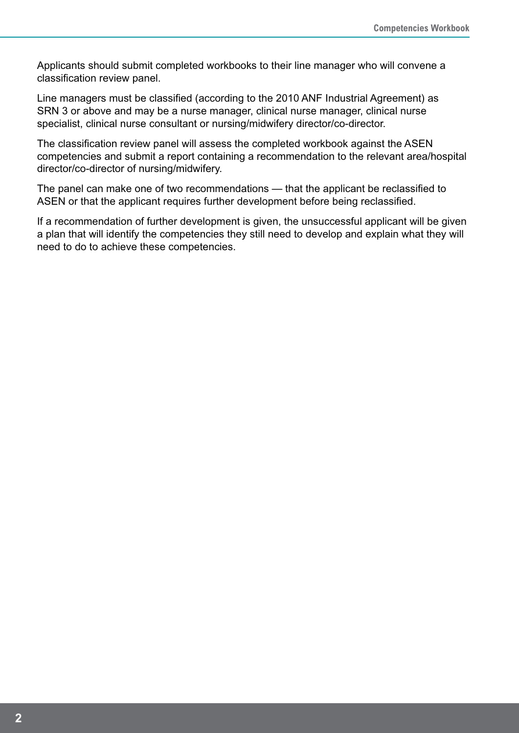Applicants should submit completed workbooks to their line manager who will convene a classification review panel.

Line managers must be classified (according to the 2010 ANF Industrial Agreement) as SRN 3 or above and may be a nurse manager, clinical nurse manager, clinical nurse specialist, clinical nurse consultant or nursing/midwifery director/co-director.

The classification review panel will assess the completed workbook against the ASEN competencies and submit a report containing a recommendation to the relevant area/hospital director/co-director of nursing/midwifery.

The panel can make one of two recommendations — that the applicant be reclassified to ASEN or that the applicant requires further development before being reclassified.

If a recommendation of further development is given, the unsuccessful applicant will be given a plan that will identify the competencies they still need to develop and explain what they will need to do to achieve these competencies.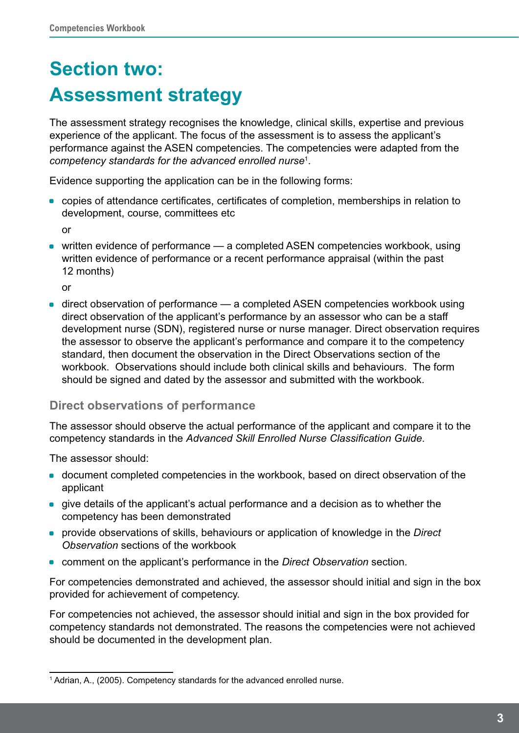# **Section two: Assessment strategy**

The assessment strategy recognises the knowledge, clinical skills, expertise and previous experience of the applicant. The focus of the assessment is to assess the applicant's performance against the ASEN competencies. The competencies were adapted from the *competency standards for the advanced enrolled nurse*<sup>1</sup> .

Evidence supporting the application can be in the following forms:

• copies of attendance certificates, certificates of completion, memberships in relation to development, course, committees etc

or

• written evidence of performance  $-$  a completed ASEN competencies workbook, using written evidence of performance or a recent performance appraisal (within the past 12 months)

or

• direct observation of performance — a completed ASEN competencies workbook using direct observation of the applicant's performance by an assessor who can be a staff development nurse (SDN), registered nurse or nurse manager. Direct observation requires the assessor to observe the applicant's performance and compare it to the competency standard, then document the observation in the Direct Observations section of the workbook. Observations should include both clinical skills and behaviours. The form should be signed and dated by the assessor and submitted with the workbook.

### **Direct observations of performance**

The assessor should observe the actual performance of the applicant and compare it to the competency standards in the *Advanced Skill Enrolled Nurse Classification Guide*.

The assessor should:

- document completed competencies in the workbook, based on direct observation of the applicant
- give details of the applicant's actual performance and a decision as to whether the competency has been demonstrated
- \* provide observations of skills, behaviours or application of knowledge in the *Direct Observation* sections of the workbook
- \* comment on the applicant's performance in the *Direct Observation* section.

For competencies demonstrated and achieved, the assessor should initial and sign in the box provided for achievement of competency.

For competencies not achieved, the assessor should initial and sign in the box provided for competency standards not demonstrated. The reasons the competencies were not achieved should be documented in the development plan.

<sup>&</sup>lt;sup>1</sup> Adrian, A., (2005). Competency standards for the advanced enrolled nurse.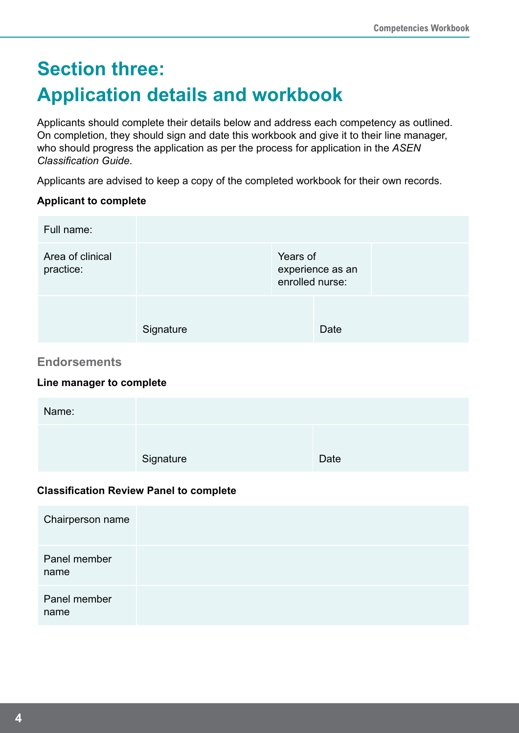# **Section three: Application details and workbook**

Applicants should complete their details below and address each competency as outlined. On completion, they should sign and date this workbook and give it to their line manager, who should progress the application as per the process for application in the *ASEN Classification Guide*.

Applicants are advised to keep a copy of the completed workbook for their own records.

#### **Applicant to complete**

| Full name:                                      |                                                |                             |                  |  |
|-------------------------------------------------|------------------------------------------------|-----------------------------|------------------|--|
| Area of clinical<br>practice:                   |                                                | Years of<br>enrolled nurse: | experience as an |  |
|                                                 | Signature                                      |                             | Date             |  |
| <b>Endorsements</b><br>Line manager to complete |                                                |                             |                  |  |
| Name:                                           |                                                |                             |                  |  |
|                                                 | Signature                                      |                             | Date             |  |
|                                                 | <b>Classification Review Panel to complete</b> |                             |                  |  |

| Chairperson name     |  |
|----------------------|--|
| Panel member<br>name |  |
| Panel member<br>name |  |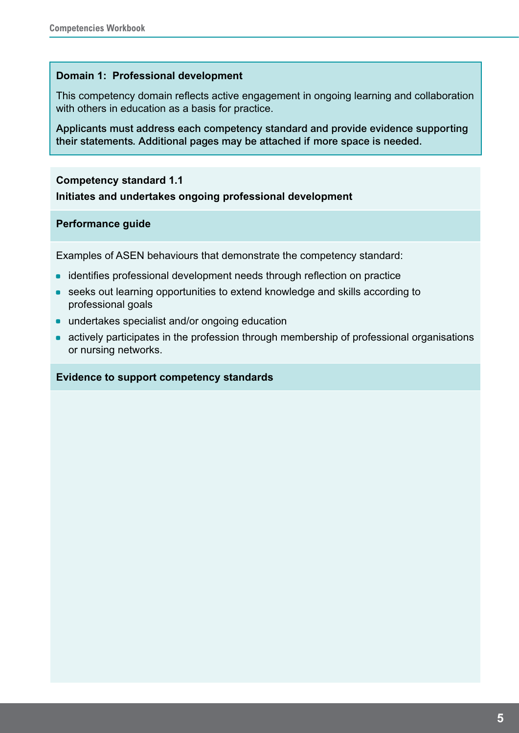#### **Domain 1: Professional development**

This competency domain reflects active engagement in ongoing learning and collaboration with others in education as a basis for practice.

Applicants must address each competency standard and provide evidence supporting their statements. Additional pages may be attached if more space is needed.

#### **Competency standard 1.1**

**Initiates and undertakes ongoing professional development**

#### **Performance guide**

Examples of ASEN behaviours that demonstrate the competency standard:

- identifies professional development needs through reflection on practice
- seeks out learning opportunities to extend knowledge and skills according to professional goals
- undertakes specialist and/or ongoing education
- actively participates in the profession through membership of professional organisations or nursing networks.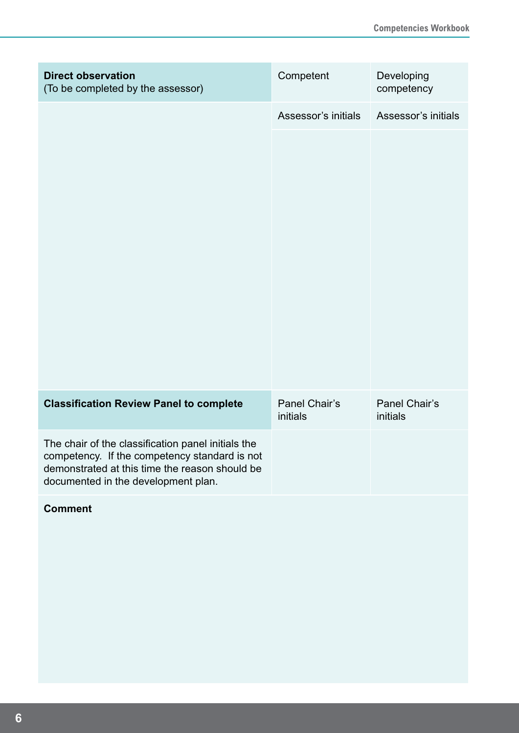| <b>Direct observation</b><br>(To be completed by the assessor)                                                                                                                               | Competent                 | Developing<br>competency  |
|----------------------------------------------------------------------------------------------------------------------------------------------------------------------------------------------|---------------------------|---------------------------|
|                                                                                                                                                                                              | Assessor's initials       | Assessor's initials       |
|                                                                                                                                                                                              |                           |                           |
| <b>Classification Review Panel to complete</b>                                                                                                                                               | Panel Chair's<br>initials | Panel Chair's<br>initials |
| The chair of the classification panel initials the<br>competency. If the competency standard is not<br>demonstrated at this time the reason should be<br>documented in the development plan. |                           |                           |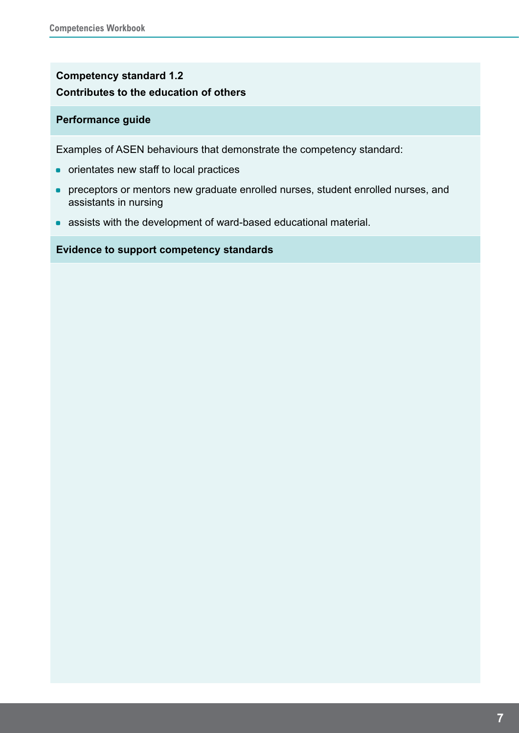### **Competency standard 1.2 Contributes to the education of others**

#### **Performance guide**

Examples of ASEN behaviours that demonstrate the competency standard:

- orientates new staff to local practices
- \* preceptors or mentors new graduate enrolled nurses, student enrolled nurses, and assistants in nursing
- assists with the development of ward-based educational material.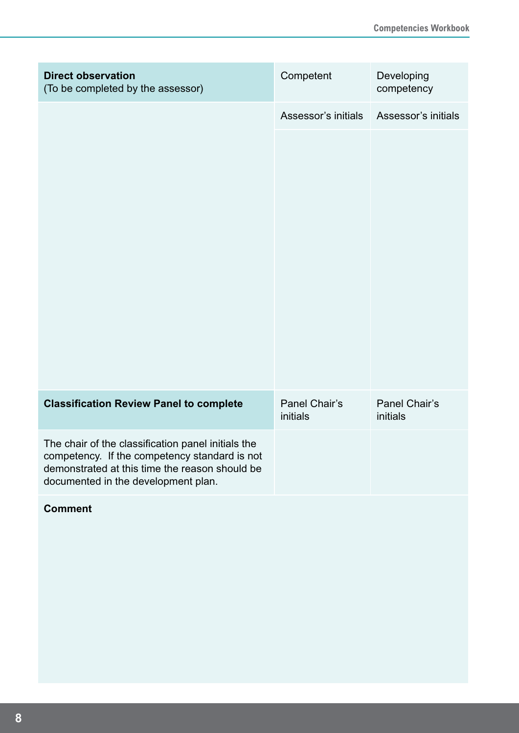| <b>Direct observation</b><br>(To be completed by the assessor)                                                                                                                               | Competent                 | Developing<br>competency  |
|----------------------------------------------------------------------------------------------------------------------------------------------------------------------------------------------|---------------------------|---------------------------|
|                                                                                                                                                                                              | Assessor's initials       | Assessor's initials       |
|                                                                                                                                                                                              |                           |                           |
| <b>Classification Review Panel to complete</b>                                                                                                                                               | Panel Chair's<br>initials | Panel Chair's<br>initials |
| The chair of the classification panel initials the<br>competency. If the competency standard is not<br>demonstrated at this time the reason should be<br>documented in the development plan. |                           |                           |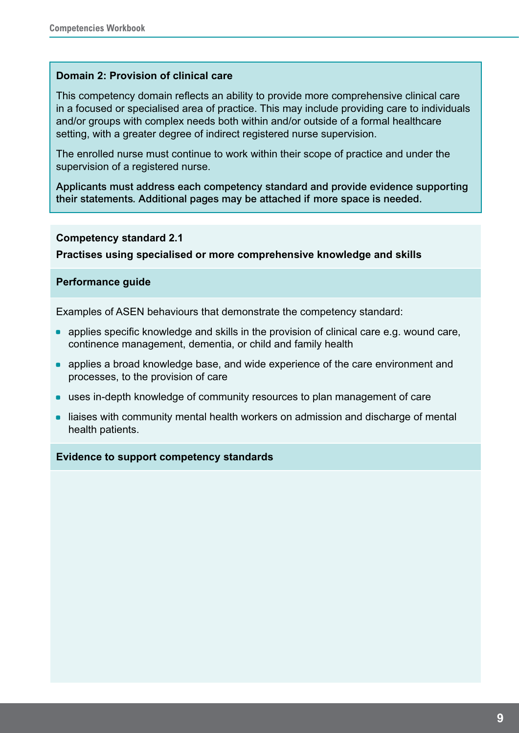#### **Domain 2: Provision of clinical care**

This competency domain reflects an ability to provide more comprehensive clinical care in a focused or specialised area of practice. This may include providing care to individuals and/or groups with complex needs both within and/or outside of a formal healthcare setting, with a greater degree of indirect registered nurse supervision.

The enrolled nurse must continue to work within their scope of practice and under the supervision of a registered nurse.

Applicants must address each competency standard and provide evidence supporting their statements. Additional pages may be attached if more space is needed.

#### **Competency standard 2.1**

**Practises using specialised or more comprehensive knowledge and skills**

#### **Performance guide**

Examples of ASEN behaviours that demonstrate the competency standard:

- $\bullet$  applies specific knowledge and skills in the provision of clinical care e.g. wound care, continence management, dementia, or child and family health
- applies a broad knowledge base, and wide experience of the care environment and processes, to the provision of care
- uses in-depth knowledge of community resources to plan management of care
- liaises with community mental health workers on admission and discharge of mental health patients.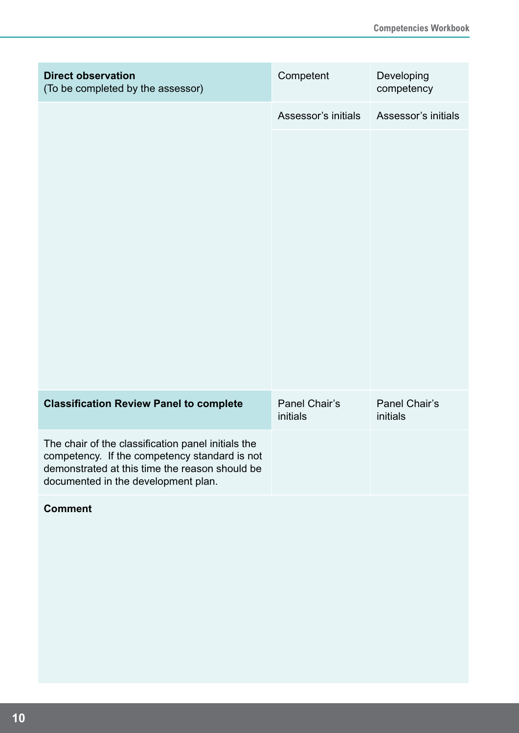| <b>Direct observation</b><br>(To be completed by the assessor)                                                                                                                               | Competent                 | Developing<br>competency  |
|----------------------------------------------------------------------------------------------------------------------------------------------------------------------------------------------|---------------------------|---------------------------|
|                                                                                                                                                                                              | Assessor's initials       | Assessor's initials       |
|                                                                                                                                                                                              |                           |                           |
| <b>Classification Review Panel to complete</b>                                                                                                                                               | Panel Chair's<br>initials | Panel Chair's<br>initials |
| The chair of the classification panel initials the<br>competency. If the competency standard is not<br>demonstrated at this time the reason should be<br>documented in the development plan. |                           |                           |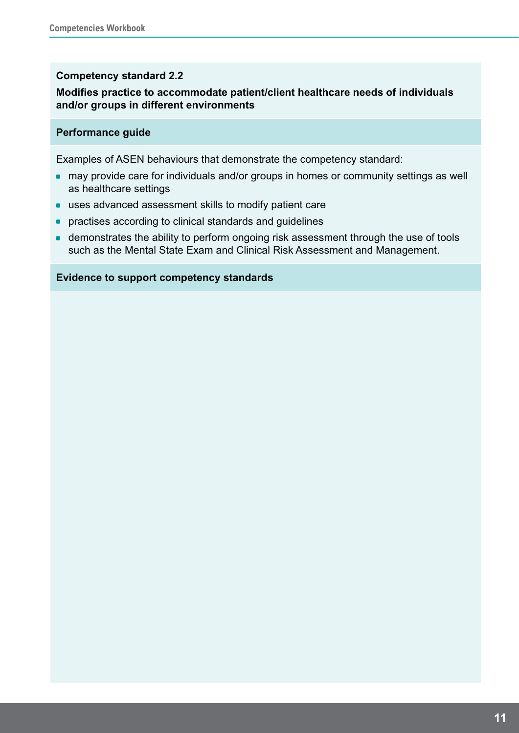#### **Competency standard 2.2**

#### **Modifies practice to accommodate patient/client healthcare needs of individuals and/or groups in different environments**

#### **Performance guide**

Examples of ASEN behaviours that demonstrate the competency standard:

- may provide care for individuals and/or groups in homes or community settings as well as healthcare settings
- **uses advanced assessment skills to modify patient care**
- practises according to clinical standards and guidelines
- demonstrates the ability to perform ongoing risk assessment through the use of tools such as the Mental State Exam and Clinical Risk Assessment and Management.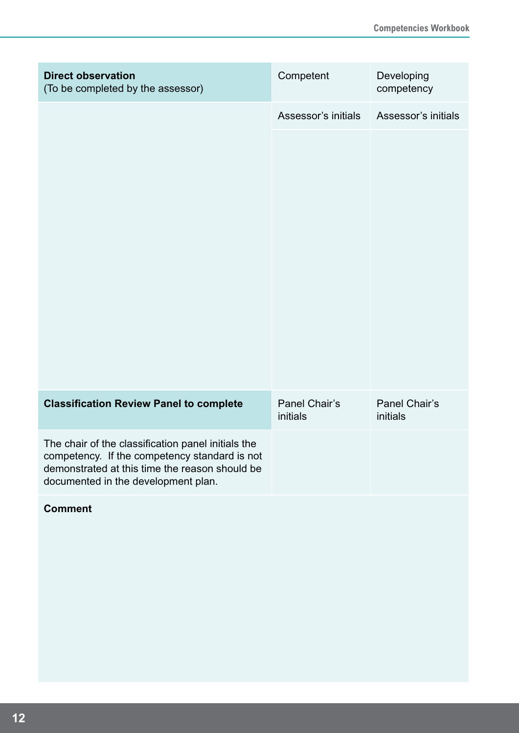| <b>Direct observation</b><br>(To be completed by the assessor)                                                                                                                               | Competent                 | Developing<br>competency  |
|----------------------------------------------------------------------------------------------------------------------------------------------------------------------------------------------|---------------------------|---------------------------|
|                                                                                                                                                                                              | Assessor's initials       | Assessor's initials       |
|                                                                                                                                                                                              |                           |                           |
| <b>Classification Review Panel to complete</b>                                                                                                                                               | Panel Chair's<br>initials | Panel Chair's<br>initials |
| The chair of the classification panel initials the<br>competency. If the competency standard is not<br>demonstrated at this time the reason should be<br>documented in the development plan. |                           |                           |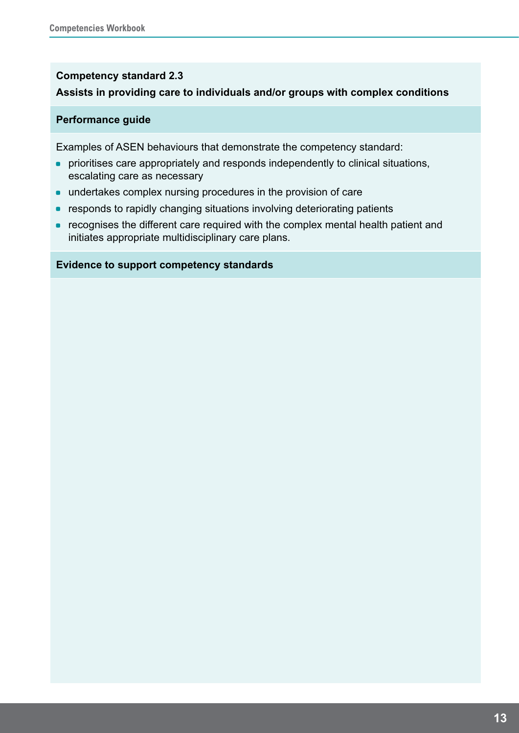#### **Competency standard 2.3**

#### **Assists in providing care to individuals and/or groups with complex conditions**

#### **Performance guide**

Examples of ASEN behaviours that demonstrate the competency standard:

- prioritises care appropriately and responds independently to clinical situations, escalating care as necessary
- **undertakes complex nursing procedures in the provision of care**
- responds to rapidly changing situations involving deteriorating patients
- recognises the different care required with the complex mental health patient and initiates appropriate multidisciplinary care plans.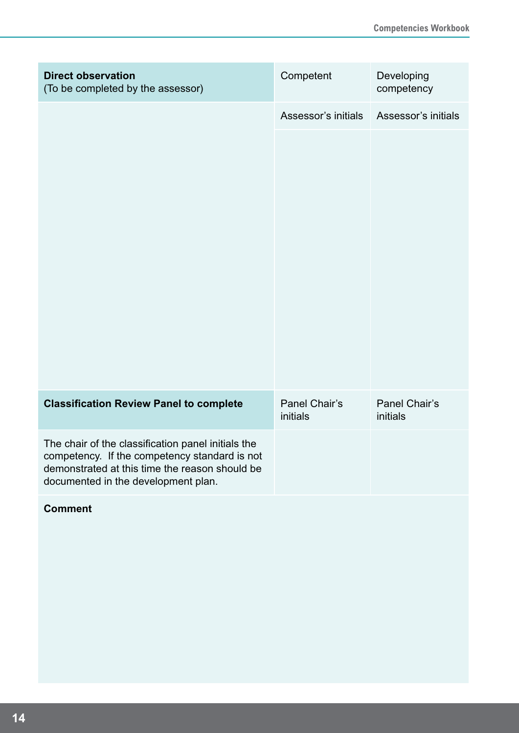| <b>Direct observation</b><br>(To be completed by the assessor)                                                                                                                               | Competent                 | Developing<br>competency  |
|----------------------------------------------------------------------------------------------------------------------------------------------------------------------------------------------|---------------------------|---------------------------|
|                                                                                                                                                                                              | Assessor's initials       | Assessor's initials       |
|                                                                                                                                                                                              |                           |                           |
| <b>Classification Review Panel to complete</b>                                                                                                                                               | Panel Chair's<br>initials | Panel Chair's<br>initials |
| The chair of the classification panel initials the<br>competency. If the competency standard is not<br>demonstrated at this time the reason should be<br>documented in the development plan. |                           |                           |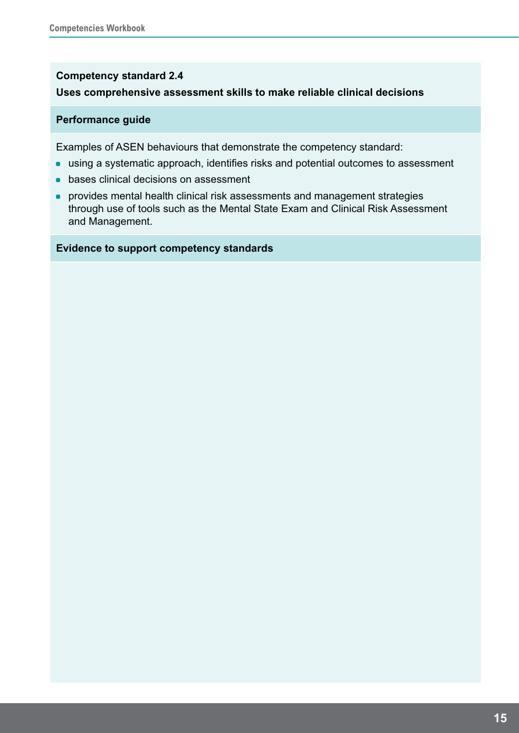#### **Competency standard 2.4**

#### **Uses comprehensive assessment skills to make reliable clinical decisions**

#### **Performance guide**

Examples of ASEN behaviours that demonstrate the competency standard:

- using a systematic approach, identifies risks and potential outcomes to assessment
- bases clinical decisions on assessment
- **provides mental health clinical risk assessments and management strategies** through use of tools such as the Mental State Exam and Clinical Risk Assessment and Management.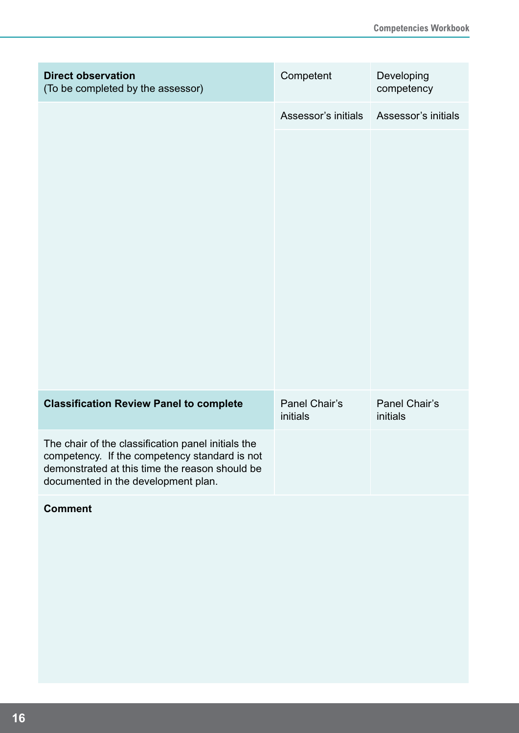| <b>Direct observation</b><br>(To be completed by the assessor)                                                                                                                               | Competent                 | Developing<br>competency  |
|----------------------------------------------------------------------------------------------------------------------------------------------------------------------------------------------|---------------------------|---------------------------|
|                                                                                                                                                                                              | Assessor's initials       | Assessor's initials       |
|                                                                                                                                                                                              |                           |                           |
| <b>Classification Review Panel to complete</b>                                                                                                                                               | Panel Chair's<br>initials | Panel Chair's<br>initials |
| The chair of the classification panel initials the<br>competency. If the competency standard is not<br>demonstrated at this time the reason should be<br>documented in the development plan. |                           |                           |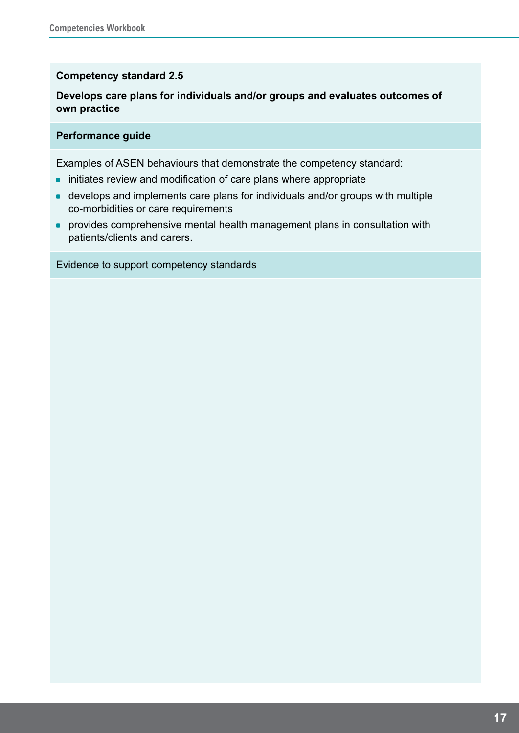#### **Competency standard 2.5**

#### **Develops care plans for individuals and/or groups and evaluates outcomes of own practice**

#### **Performance guide**

Examples of ASEN behaviours that demonstrate the competency standard:

- initiates review and modification of care plans where appropriate
- develops and implements care plans for individuals and/or groups with multiple co-morbidities or care requirements
- provides comprehensive mental health management plans in consultation with patients/clients and carers.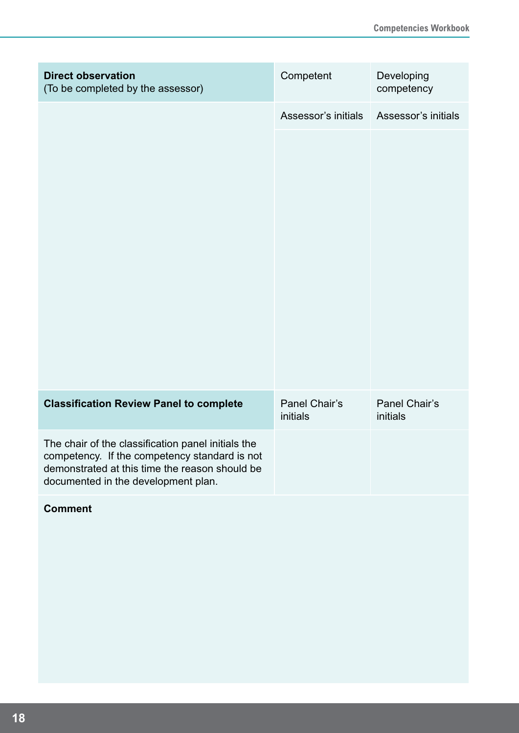| <b>Direct observation</b><br>(To be completed by the assessor)                                                                                                                               | Competent                 | Developing<br>competency  |
|----------------------------------------------------------------------------------------------------------------------------------------------------------------------------------------------|---------------------------|---------------------------|
|                                                                                                                                                                                              | Assessor's initials       | Assessor's initials       |
|                                                                                                                                                                                              |                           |                           |
| <b>Classification Review Panel to complete</b>                                                                                                                                               | Panel Chair's<br>initials | Panel Chair's<br>initials |
| The chair of the classification panel initials the<br>competency. If the competency standard is not<br>demonstrated at this time the reason should be<br>documented in the development plan. |                           |                           |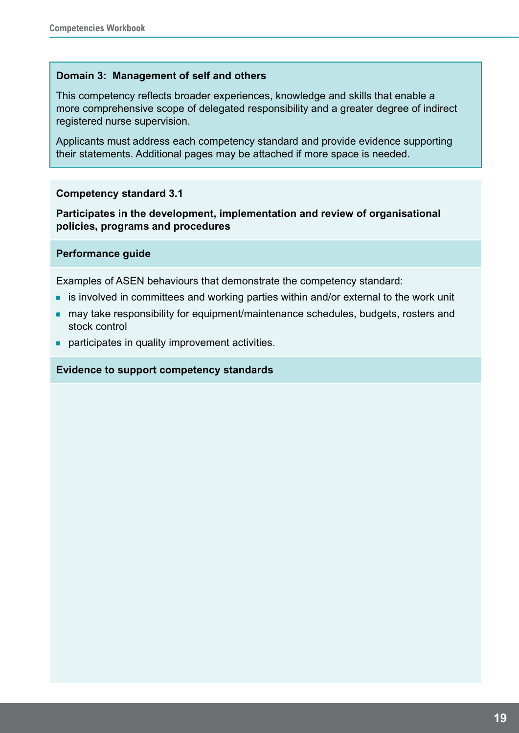#### **Domain 3: Management of self and others**

This competency reflects broader experiences, knowledge and skills that enable a more comprehensive scope of delegated responsibility and a greater degree of indirect registered nurse supervision.

Applicants must address each competency standard and provide evidence supporting their statements. Additional pages may be attached if more space is needed.

#### **Competency standard 3.1**

**Participates in the development, implementation and review of organisational policies, programs and procedures**

#### **Performance guide**

Examples of ASEN behaviours that demonstrate the competency standard:

- is involved in committees and working parties within and/or external to the work unit
- may take responsibility for equipment/maintenance schedules, budgets, rosters and stock control
- participates in quality improvement activities.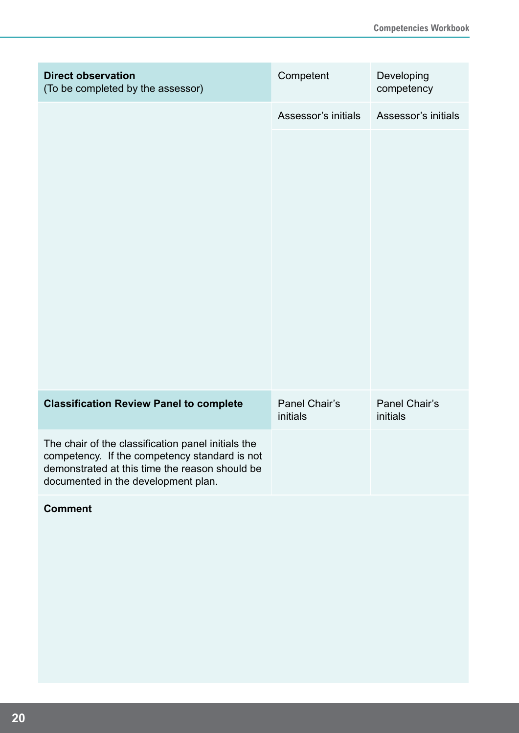| <b>Direct observation</b><br>(To be completed by the assessor)                                                                                                                               | Competent                 | Developing<br>competency  |
|----------------------------------------------------------------------------------------------------------------------------------------------------------------------------------------------|---------------------------|---------------------------|
|                                                                                                                                                                                              | Assessor's initials       | Assessor's initials       |
|                                                                                                                                                                                              |                           |                           |
| <b>Classification Review Panel to complete</b>                                                                                                                                               | Panel Chair's<br>initials | Panel Chair's<br>initials |
| The chair of the classification panel initials the<br>competency. If the competency standard is not<br>demonstrated at this time the reason should be<br>documented in the development plan. |                           |                           |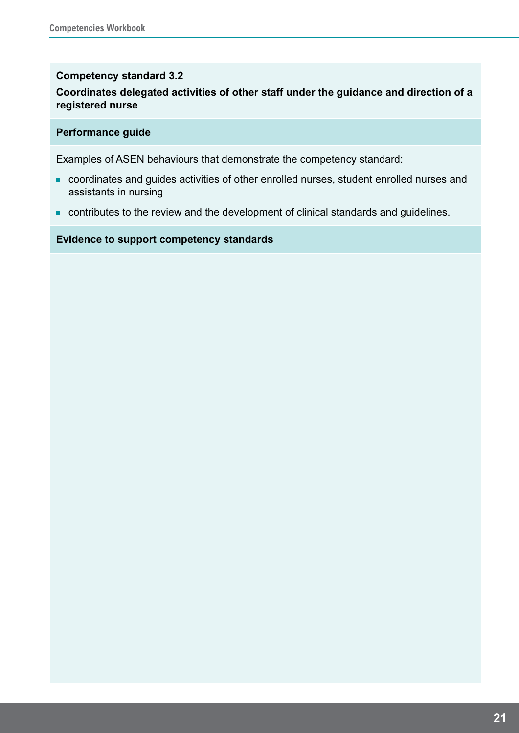#### **Competency standard 3.2**

#### **Coordinates delegated activities of other staff under the guidance and direction of a registered nurse**

#### **Performance guide**

Examples of ASEN behaviours that demonstrate the competency standard:

- coordinates and guides activities of other enrolled nurses, student enrolled nurses and assistants in nursing
- contributes to the review and the development of clinical standards and guidelines.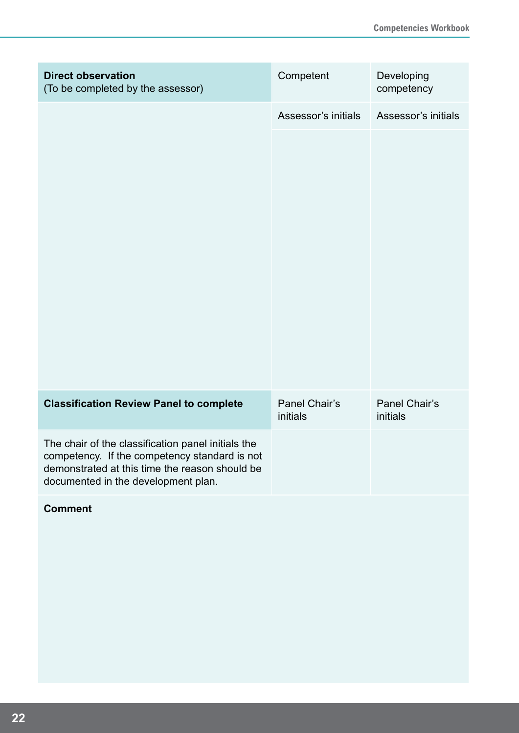| <b>Direct observation</b><br>(To be completed by the assessor)                                                                                                                               | Competent                 | Developing<br>competency  |
|----------------------------------------------------------------------------------------------------------------------------------------------------------------------------------------------|---------------------------|---------------------------|
|                                                                                                                                                                                              | Assessor's initials       | Assessor's initials       |
|                                                                                                                                                                                              |                           |                           |
| <b>Classification Review Panel to complete</b>                                                                                                                                               | Panel Chair's<br>initials | Panel Chair's<br>initials |
| The chair of the classification panel initials the<br>competency. If the competency standard is not<br>demonstrated at this time the reason should be<br>documented in the development plan. |                           |                           |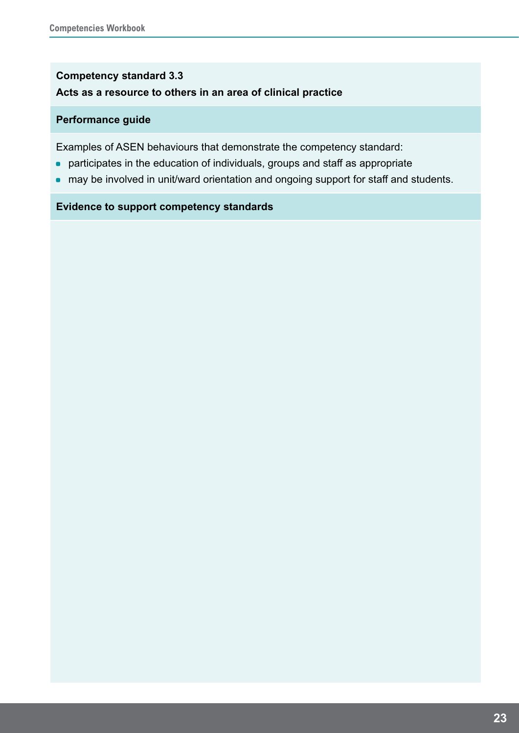### **Competency standard 3.3 Acts as a resource to others in an area of clinical practice**

#### **Performance guide**

Examples of ASEN behaviours that demonstrate the competency standard:

- participates in the education of individuals, groups and staff as appropriate
- may be involved in unit/ward orientation and ongoing support for staff and students.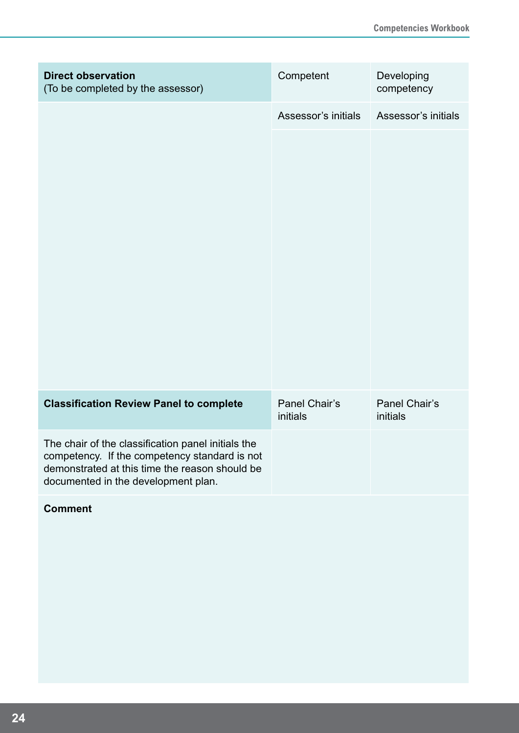| <b>Direct observation</b><br>(To be completed by the assessor)                                                                                                                               | Competent                 | Developing<br>competency  |
|----------------------------------------------------------------------------------------------------------------------------------------------------------------------------------------------|---------------------------|---------------------------|
|                                                                                                                                                                                              | Assessor's initials       | Assessor's initials       |
|                                                                                                                                                                                              |                           |                           |
| <b>Classification Review Panel to complete</b>                                                                                                                                               | Panel Chair's<br>initials | Panel Chair's<br>initials |
| The chair of the classification panel initials the<br>competency. If the competency standard is not<br>demonstrated at this time the reason should be<br>documented in the development plan. |                           |                           |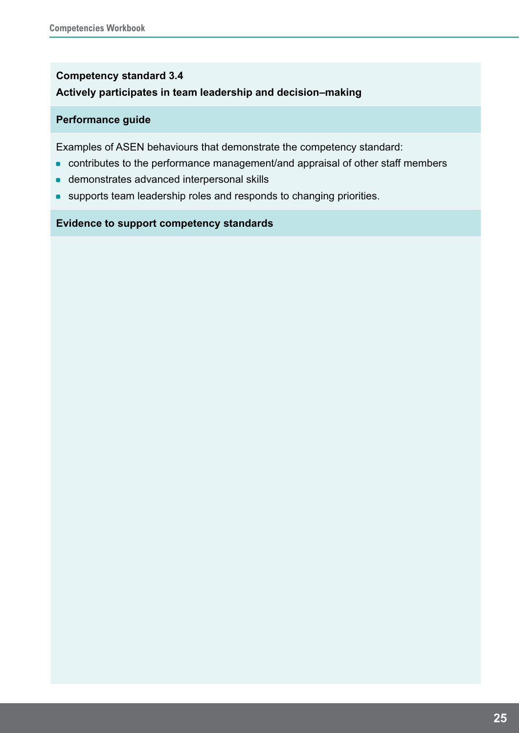### **Competency standard 3.4 Actively participates in team leadership and decision–making**

#### **Performance guide**

Examples of ASEN behaviours that demonstrate the competency standard:

- contributes to the performance management/and appraisal of other staff members
- **demonstrates advanced interpersonal skills**
- **•** supports team leadership roles and responds to changing priorities.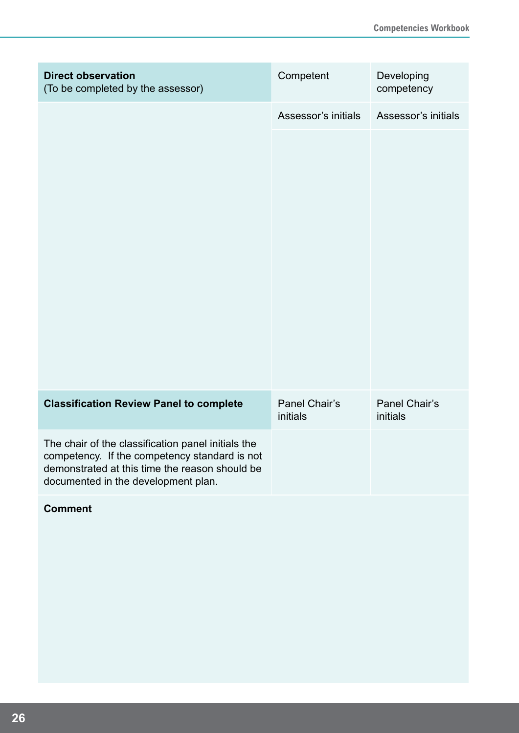| <b>Direct observation</b><br>(To be completed by the assessor)                                                                                                                               | Competent                 | Developing<br>competency  |
|----------------------------------------------------------------------------------------------------------------------------------------------------------------------------------------------|---------------------------|---------------------------|
|                                                                                                                                                                                              | Assessor's initials       | Assessor's initials       |
|                                                                                                                                                                                              |                           |                           |
| <b>Classification Review Panel to complete</b>                                                                                                                                               | Panel Chair's<br>initials | Panel Chair's<br>initials |
| The chair of the classification panel initials the<br>competency. If the competency standard is not<br>demonstrated at this time the reason should be<br>documented in the development plan. |                           |                           |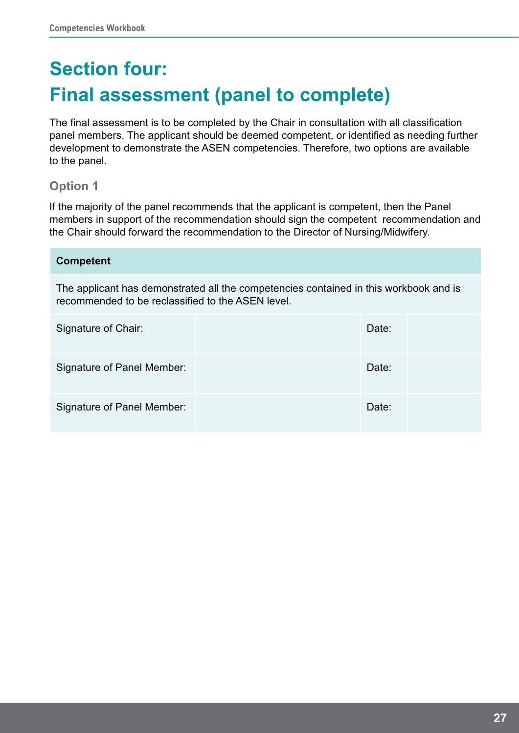# **Section four: Final assessment (panel to complete)**

The final assessment is to be completed by the Chair in consultation with all classification panel members. The applicant should be deemed competent, or identified as needing further development to demonstrate the ASEN competencies. Therefore, two options are available to the panel.

### **Option 1**

If the majority of the panel recommends that the applicant is competent, then the Panel members in support of the recommendation should sign the competent recommendation and the Chair should forward the recommendation to the Director of Nursing/Midwifery.

| <b>Competent</b>                                                                                                                           |  |       |  |
|--------------------------------------------------------------------------------------------------------------------------------------------|--|-------|--|
| The applicant has demonstrated all the competencies contained in this workbook and is<br>recommended to be reclassified to the ASEN level. |  |       |  |
| Signature of Chair:                                                                                                                        |  | Date: |  |
| Signature of Panel Member:                                                                                                                 |  | Date: |  |
| Signature of Panel Member:                                                                                                                 |  | Date: |  |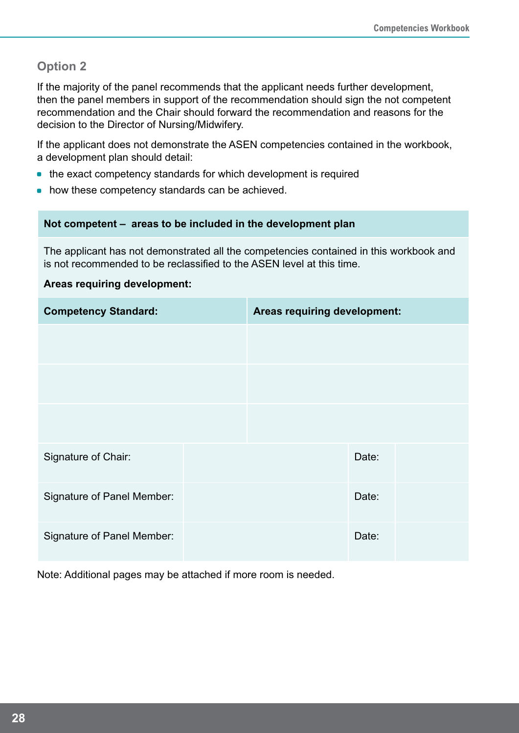### **Option 2**

If the majority of the panel recommends that the applicant needs further development, then the panel members in support of the recommendation should sign the not competent recommendation and the Chair should forward the recommendation and reasons for the decision to the Director of Nursing/Midwifery.

If the applicant does not demonstrate the ASEN competencies contained in the workbook, a development plan should detail:

- the exact competency standards for which development is required
- how these competency standards can be achieved.

#### **Not competent – areas to be included in the development plan**

The applicant has not demonstrated all the competencies contained in this workbook and is not recommended to be reclassified to the ASEN level at this time.

#### **Areas requiring development:**

| <b>Competency Standard:</b>       | Areas requiring development: |       |  |
|-----------------------------------|------------------------------|-------|--|
|                                   |                              |       |  |
|                                   |                              |       |  |
|                                   |                              |       |  |
| Signature of Chair:               |                              | Date: |  |
| <b>Signature of Panel Member:</b> |                              | Date: |  |
| Signature of Panel Member:        |                              | Date: |  |

Note: Additional pages may be attached if more room is needed.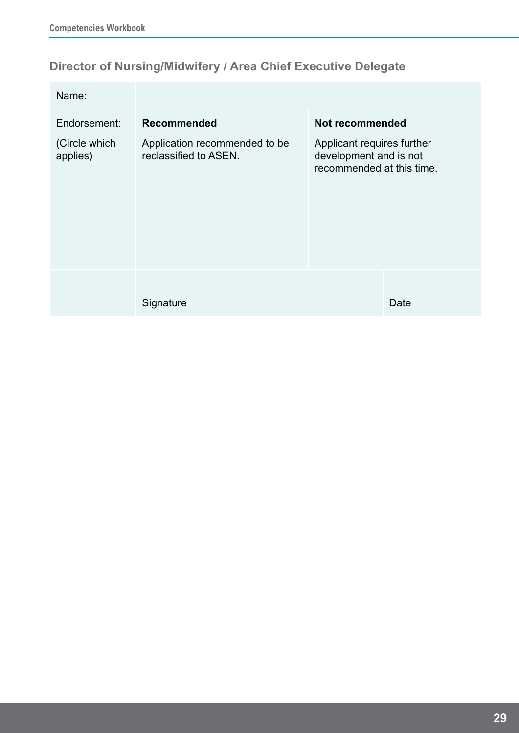# **Director of Nursing/Midwifery / Area Chief Executive Delegate**

| Name:                     |                                                        |                                                                                   |
|---------------------------|--------------------------------------------------------|-----------------------------------------------------------------------------------|
| Endorsement:              | <b>Recommended</b>                                     | Not recommended                                                                   |
| (Circle which<br>applies) | Application recommended to be<br>reclassified to ASEN. | Applicant requires further<br>development and is not<br>recommended at this time. |
|                           | Signature                                              | Date                                                                              |
|                           |                                                        |                                                                                   |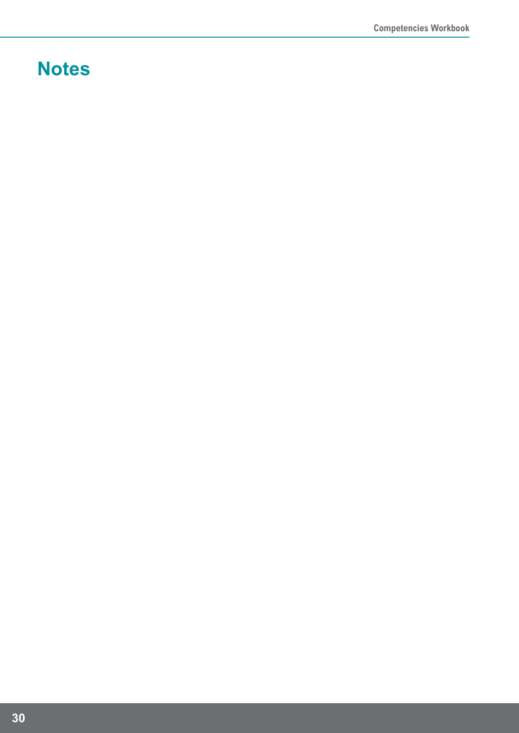# **Notes**